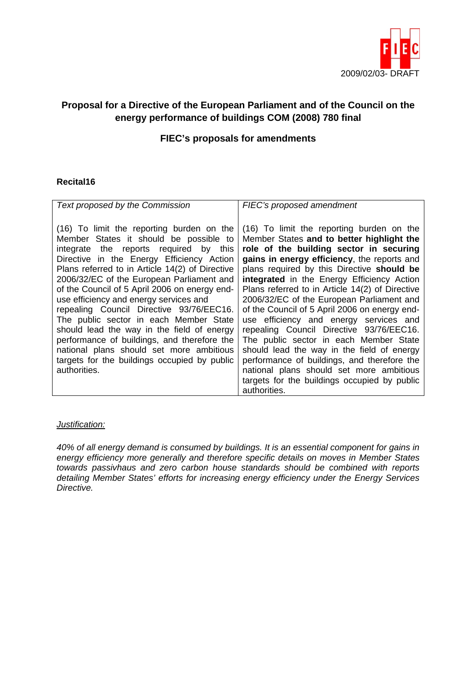

# **Proposal for a Directive of the European Parliament and of the Council on the energy performance of buildings COM (2008) 780 final**

## **FIEC's proposals for amendments**

#### **Recital16**

| Text proposed by the Commission                                                                                                                                                                                                                                                                                                                                                                                                                                                                                                                                                                                                                                      | FIEC's proposed amendment                                                                                                                                                                                                                                                                                                                                                                                                                                                                                                                                                                                                                                                                                                                                              |
|----------------------------------------------------------------------------------------------------------------------------------------------------------------------------------------------------------------------------------------------------------------------------------------------------------------------------------------------------------------------------------------------------------------------------------------------------------------------------------------------------------------------------------------------------------------------------------------------------------------------------------------------------------------------|------------------------------------------------------------------------------------------------------------------------------------------------------------------------------------------------------------------------------------------------------------------------------------------------------------------------------------------------------------------------------------------------------------------------------------------------------------------------------------------------------------------------------------------------------------------------------------------------------------------------------------------------------------------------------------------------------------------------------------------------------------------------|
| (16) To limit the reporting burden on the<br>Member States it should be possible to<br>integrate the reports required by this<br>Directive in the Energy Efficiency Action<br>Plans referred to in Article 14(2) of Directive<br>2006/32/EC of the European Parliament and<br>of the Council of 5 April 2006 on energy end-<br>use efficiency and energy services and<br>repealing Council Directive 93/76/EEC16.<br>The public sector in each Member State<br>should lead the way in the field of energy<br>performance of buildings, and therefore the<br>national plans should set more ambitious<br>targets for the buildings occupied by public<br>authorities. | (16) To limit the reporting burden on the<br>Member States and to better highlight the<br>role of the building sector in securing<br>gains in energy efficiency, the reports and<br>plans required by this Directive should be<br>integrated in the Energy Efficiency Action<br>Plans referred to in Article 14(2) of Directive<br>2006/32/EC of the European Parliament and<br>of the Council of 5 April 2006 on energy end-<br>use efficiency and energy services and<br>repealing Council Directive 93/76/EEC16.<br>The public sector in each Member State<br>should lead the way in the field of energy<br>performance of buildings, and therefore the<br>national plans should set more ambitious<br>targets for the buildings occupied by public<br>authorities. |

#### *Justification:*

*40% of all energy demand is consumed by buildings. It is an essential component for gains in energy efficiency more generally and therefore specific details on moves in Member States towards passivhaus and zero carbon house standards should be combined with reports detailing Member States' efforts for increasing energy efficiency under the Energy Services Directive.*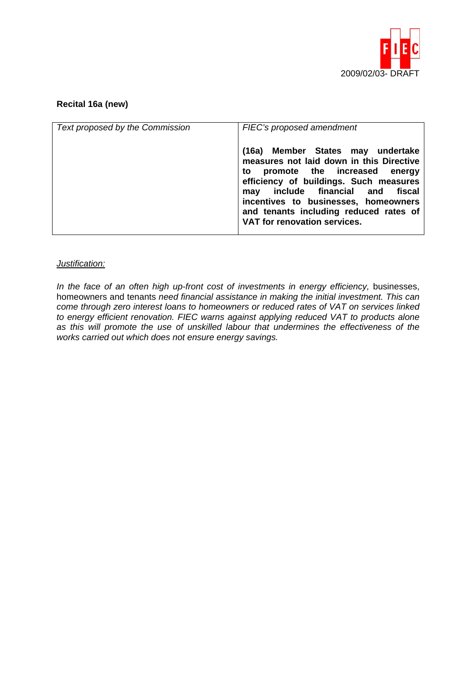

### **Recital 16a (new)**

| Text proposed by the Commission | FIEC's proposed amendment                                                                                                                                                                                                                                                                                        |
|---------------------------------|------------------------------------------------------------------------------------------------------------------------------------------------------------------------------------------------------------------------------------------------------------------------------------------------------------------|
|                                 | (16a) Member States may undertake<br>measures not laid down in this Directive<br>to promote the increased energy<br>efficiency of buildings. Such measures<br>may include financial and fiscal<br>incentives to businesses, homeowners<br>and tenants including reduced rates of<br>VAT for renovation services. |

#### *Justification:*

In the face of an often high up-front cost of investments in energy efficiency, businesses, homeowners and tenants *need financial assistance in making the initial investment. This can come through zero interest loans to homeowners or reduced rates of VAT on services linked to energy efficient renovation. FIEC warns against applying reduced VAT to products alone as this will promote the use of unskilled labour that undermines the effectiveness of the works carried out which does not ensure energy savings.*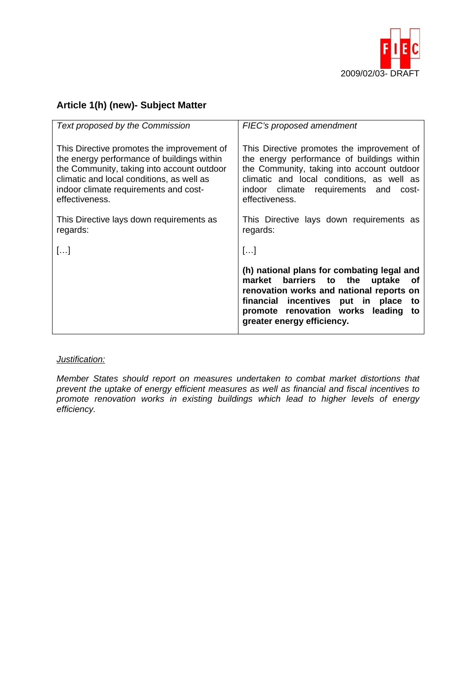

# **Article 1(h) (new)- Subject Matter**

| Text proposed by the Commission                                                                                                                                                                                                                | FIEC's proposed amendment                                                                                                                                                                                                                                    |
|------------------------------------------------------------------------------------------------------------------------------------------------------------------------------------------------------------------------------------------------|--------------------------------------------------------------------------------------------------------------------------------------------------------------------------------------------------------------------------------------------------------------|
| This Directive promotes the improvement of<br>the energy performance of buildings within<br>the Community, taking into account outdoor<br>climatic and local conditions, as well as<br>indoor climate requirements and cost-<br>effectiveness. | This Directive promotes the improvement of<br>the energy performance of buildings within<br>the Community, taking into account outdoor<br>climatic and local conditions, as well as<br>climate requirements and<br>indoor<br>cost-<br>effectiveness.         |
| This Directive lays down requirements as<br>regards:                                                                                                                                                                                           | This Directive lays down requirements as<br>regards:                                                                                                                                                                                                         |
| []                                                                                                                                                                                                                                             | []                                                                                                                                                                                                                                                           |
|                                                                                                                                                                                                                                                | (h) national plans for combating legal and<br>barriers to the<br>market<br>uptake<br>οf<br>renovation works and national reports on<br>financial incentives<br>put in<br>place<br>to<br>promote renovation works leading<br>to<br>greater energy efficiency. |

#### *Justification:*

*Member States should report on measures undertaken to combat market distortions that prevent the uptake of energy efficient measures as well as financial and fiscal incentives to promote renovation works in existing buildings which lead to higher levels of energy efficiency.*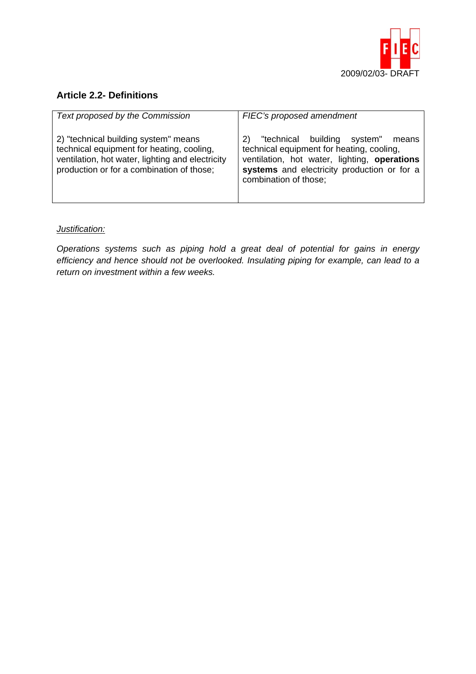

## **Article 2.2- Definitions**

| Text proposed by the Commission                                                                                                                                                    | FIEC's proposed amendment                                                                                                                                                                                          |
|------------------------------------------------------------------------------------------------------------------------------------------------------------------------------------|--------------------------------------------------------------------------------------------------------------------------------------------------------------------------------------------------------------------|
| 2) "technical building system" means<br>technical equipment for heating, cooling,<br>ventilation, hot water, lighting and electricity<br>production or for a combination of those; | "technical building<br>system"<br>2)<br>means<br>technical equipment for heating, cooling,<br>ventilation, hot water, lighting, operations<br>systems and electricity production or for a<br>combination of those; |

## *Justification:*

*Operations systems such as piping hold a great deal of potential for gains in energy efficiency and hence should not be overlooked. Insulating piping for example, can lead to a return on investment within a few weeks.*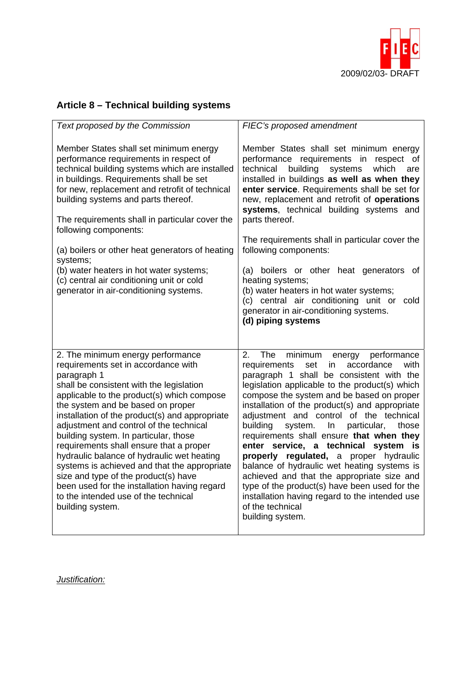

# **Article 8 – Technical building systems**

| Text proposed by the Commission                                                                                                                                                                                                                                                                                                                                                                                                                                                                                                                                                                                                                           | FIEC's proposed amendment                                                                                                                                                                                                                                                                                                                                                                                                                                                                                                                                                                                                                                                                                                                                             |
|-----------------------------------------------------------------------------------------------------------------------------------------------------------------------------------------------------------------------------------------------------------------------------------------------------------------------------------------------------------------------------------------------------------------------------------------------------------------------------------------------------------------------------------------------------------------------------------------------------------------------------------------------------------|-----------------------------------------------------------------------------------------------------------------------------------------------------------------------------------------------------------------------------------------------------------------------------------------------------------------------------------------------------------------------------------------------------------------------------------------------------------------------------------------------------------------------------------------------------------------------------------------------------------------------------------------------------------------------------------------------------------------------------------------------------------------------|
| Member States shall set minimum energy<br>performance requirements in respect of<br>technical building systems which are installed<br>in buildings. Requirements shall be set<br>for new, replacement and retrofit of technical<br>building systems and parts thereof.<br>The requirements shall in particular cover the<br>following components:<br>(a) boilers or other heat generators of heating<br>systems;<br>(b) water heaters in hot water systems;<br>(c) central air conditioning unit or cold<br>generator in air-conditioning systems.                                                                                                        | Member States shall set minimum energy<br>performance requirements in respect<br>οf<br>building<br>technical<br>systems<br>which<br>are<br>installed in buildings as well as when they<br>enter service. Requirements shall be set for<br>new, replacement and retrofit of operations<br>systems, technical building systems and<br>parts thereof.<br>The requirements shall in particular cover the<br>following components:<br>(a) boilers or other heat generators<br>of<br>heating systems;<br>(b) water heaters in hot water systems;<br>(c) central air conditioning unit or<br>cold<br>generator in air-conditioning systems.<br>(d) piping systems                                                                                                            |
| 2. The minimum energy performance<br>requirements set in accordance with<br>paragraph 1<br>shall be consistent with the legislation<br>applicable to the product(s) which compose<br>the system and be based on proper<br>installation of the product(s) and appropriate<br>adjustment and control of the technical<br>building system. In particular, those<br>requirements shall ensure that a proper<br>hydraulic balance of hydraulic wet heating<br>systems is achieved and that the appropriate<br>size and type of the product(s) have<br>been used for the installation having regard<br>to the intended use of the technical<br>building system. | The<br>2.<br>performance<br>minimum<br>energy<br>accordance<br>with<br>requirements<br>set<br>in.<br>paragraph 1 shall be consistent with the<br>legislation applicable to the product(s) which<br>compose the system and be based on proper<br>installation of the product(s) and appropriate<br>adjustment and control of the technical<br>building<br>system.<br>particular,<br>In.<br>those<br>requirements shall ensure that when they<br>enter service, a technical system is<br>properly regulated, a proper hydraulic<br>balance of hydraulic wet heating systems is<br>achieved and that the appropriate size and<br>type of the product(s) have been used for the<br>installation having regard to the intended use<br>of the technical<br>building system. |

*Justification:*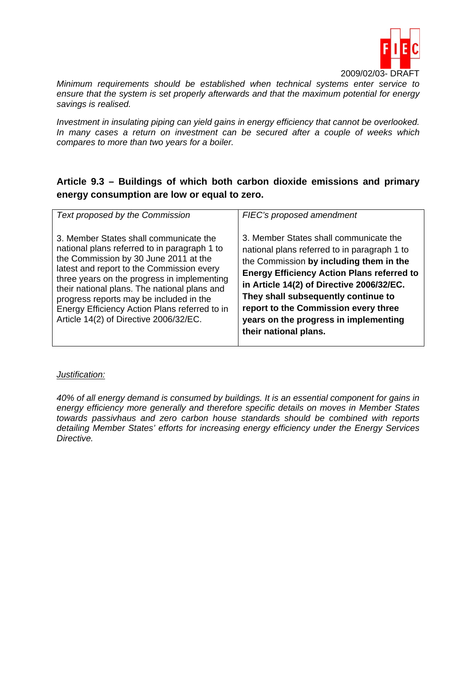

*Minimum requirements should be established when technical systems enter service to ensure that the system is set properly afterwards and that the maximum potential for energy savings is realised.* 

*Investment in insulating piping can yield gains in energy efficiency that cannot be overlooked. In many cases a return on investment can be secured after a couple of weeks which compares to more than two years for a boiler.* 

# **Article 9.3 – Buildings of which both carbon dioxide emissions and primary energy consumption are low or equal to zero.**

| Text proposed by the Commission                                                                                                                                                                                                                                                                                                                                                                                   | FIEC's proposed amendment                                                                                                                                                                                                                                                                                                                                                            |
|-------------------------------------------------------------------------------------------------------------------------------------------------------------------------------------------------------------------------------------------------------------------------------------------------------------------------------------------------------------------------------------------------------------------|--------------------------------------------------------------------------------------------------------------------------------------------------------------------------------------------------------------------------------------------------------------------------------------------------------------------------------------------------------------------------------------|
| 3. Member States shall communicate the<br>national plans referred to in paragraph 1 to<br>the Commission by 30 June 2011 at the<br>latest and report to the Commission every<br>three years on the progress in implementing<br>their national plans. The national plans and<br>progress reports may be included in the<br>Energy Efficiency Action Plans referred to in<br>Article 14(2) of Directive 2006/32/EC. | 3. Member States shall communicate the<br>national plans referred to in paragraph 1 to<br>the Commission by including them in the<br><b>Energy Efficiency Action Plans referred to</b><br>in Article 14(2) of Directive 2006/32/EC.<br>They shall subsequently continue to<br>report to the Commission every three<br>years on the progress in implementing<br>their national plans. |

#### *Justification:*

*40% of all energy demand is consumed by buildings. It is an essential component for gains in energy efficiency more generally and therefore specific details on moves in Member States towards passivhaus and zero carbon house standards should be combined with reports detailing Member States' efforts for increasing energy efficiency under the Energy Services Directive.*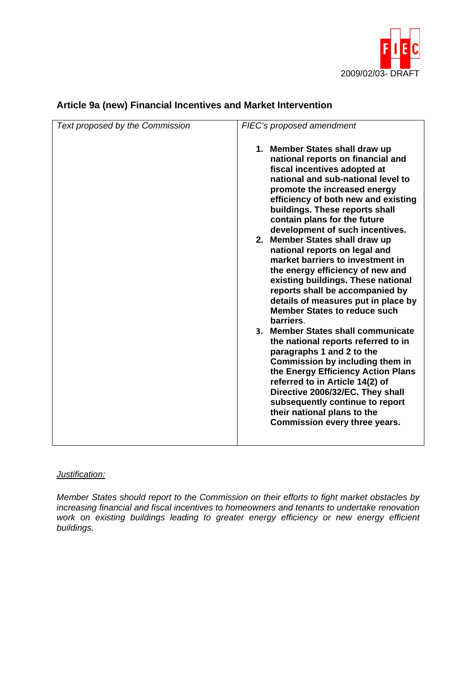

| Text proposed by the Commission | FIEC's proposed amendment                                                                                                                                                                                                                                                                                                                                                                                                                                                                                                                                                                                                                                                                                                                                                                                                                                                                                                                                                                                                      |
|---------------------------------|--------------------------------------------------------------------------------------------------------------------------------------------------------------------------------------------------------------------------------------------------------------------------------------------------------------------------------------------------------------------------------------------------------------------------------------------------------------------------------------------------------------------------------------------------------------------------------------------------------------------------------------------------------------------------------------------------------------------------------------------------------------------------------------------------------------------------------------------------------------------------------------------------------------------------------------------------------------------------------------------------------------------------------|
|                                 | 1. Member States shall draw up<br>national reports on financial and<br>fiscal incentives adopted at<br>national and sub-national level to<br>promote the increased energy<br>efficiency of both new and existing<br>buildings. These reports shall<br>contain plans for the future<br>development of such incentives.<br>2. Member States shall draw up<br>national reports on legal and<br>market barriers to investment in<br>the energy efficiency of new and<br>existing buildings. These national<br>reports shall be accompanied by<br>details of measures put in place by<br><b>Member States to reduce such</b><br>barriers.<br><b>Member States shall communicate</b><br>3 <sub>1</sub><br>the national reports referred to in<br>paragraphs 1 and 2 to the<br><b>Commission by including them in</b><br>the Energy Efficiency Action Plans<br>referred to in Article 14(2) of<br>Directive 2006/32/EC. They shall<br>subsequently continue to report<br>their national plans to the<br>Commission every three years. |
|                                 |                                                                                                                                                                                                                                                                                                                                                                                                                                                                                                                                                                                                                                                                                                                                                                                                                                                                                                                                                                                                                                |

# **Article 9a (new) Financial Incentives and Market Intervention**

#### *Justification:*

*Member States should report to the Commission on their efforts to fight market obstacles by increasing financial and fiscal incentives to homeowners and tenants to undertake renovation work on existing buildings leading to greater energy efficiency or new energy efficient buildings.*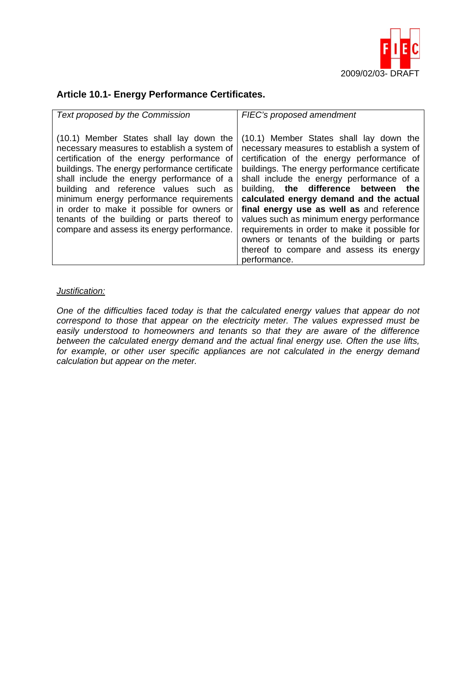

## **Article 10.1- Energy Performance Certificates.**

| Text proposed by the Commission                                                                                                                                                                                                                                                                                                                                                                                                                                   | FIEC's proposed amendment                                                                                                                                                                                                                                                                                                                                                                                                                                                                                                                                                  |
|-------------------------------------------------------------------------------------------------------------------------------------------------------------------------------------------------------------------------------------------------------------------------------------------------------------------------------------------------------------------------------------------------------------------------------------------------------------------|----------------------------------------------------------------------------------------------------------------------------------------------------------------------------------------------------------------------------------------------------------------------------------------------------------------------------------------------------------------------------------------------------------------------------------------------------------------------------------------------------------------------------------------------------------------------------|
| (10.1) Member States shall lay down the<br>necessary measures to establish a system of<br>certification of the energy performance of<br>buildings. The energy performance certificate<br>shall include the energy performance of a<br>building and reference values such as<br>minimum energy performance requirements<br>in order to make it possible for owners or<br>tenants of the building or parts thereof to<br>compare and assess its energy performance. | (10.1) Member States shall lay down the<br>necessary measures to establish a system of<br>certification of the energy performance of<br>buildings. The energy performance certificate<br>shall include the energy performance of a<br>building, the difference between the<br>calculated energy demand and the actual<br>final energy use as well as and reference<br>values such as minimum energy performance<br>requirements in order to make it possible for<br>owners or tenants of the building or parts<br>thereof to compare and assess its energy<br>performance. |

#### *Justification:*

*One of the difficulties faced today is that the calculated energy values that appear do not correspond to those that appear on the electricity meter. The values expressed must be easily understood to homeowners and tenants so that they are aware of the difference between the calculated energy demand and the actual final energy use. Often the use lifts,*  for example, or other user specific appliances are not calculated in the energy demand *calculation but appear on the meter.*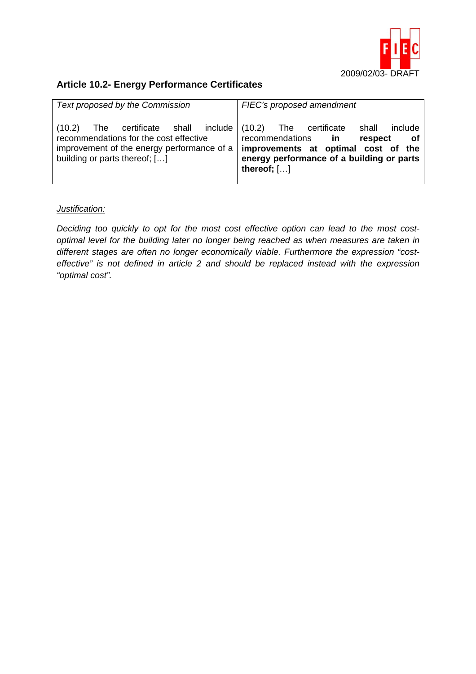

# **Article 10.2- Energy Performance Certificates**

| Text proposed by the Commission                                                                                                                                                         | FIEC's proposed amendment                                                                                                                                    |
|-----------------------------------------------------------------------------------------------------------------------------------------------------------------------------------------|--------------------------------------------------------------------------------------------------------------------------------------------------------------|
| The certificate shall include (10.2) The certificate<br>(10.2)<br>recommendations for the cost effective<br>improvement of the energy performance of a<br>building or parts thereof; [] | include<br>shall<br>recommendations in<br>respect<br>of<br>improvements at optimal cost of the<br>energy performance of a building or parts<br>thereof; $[]$ |

#### *Justification:*

*Deciding too quickly to opt for the most cost effective option can lead to the most costoptimal level for the building later no longer being reached as when measures are taken in different stages are often no longer economically viable. Furthermore the expression "costeffective" is not defined in article 2 and should be replaced instead with the expression "optimal cost".*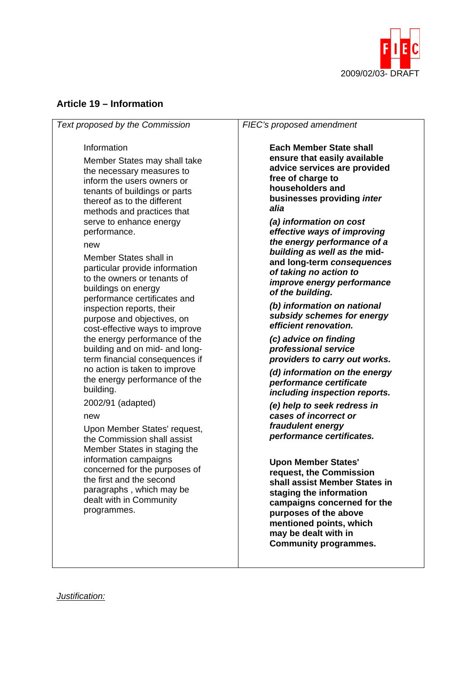

## **Article 19 – Information**

*Text proposed by the Commission* 

#### Information

Member States may shall take the necessary measures to inform the users owners or tenants of buildings or parts thereof as to the different methods and practices that serve to enhance energy performance.

new

Member States shall in particular provide information to the owners or tenants of buildings on energy performance certificates and inspection reports, their purpose and objectives, on cost-effective ways to improve the energy performance of the building and on mid- and longterm financial consequences if no action is taken to improve the energy performance of the building.

2002/91 (adapted)

new

Upon Member States' request, the Commission shall assist Member States in staging the information campaigns concerned for the purposes of the first and the second paragraphs , which may be dealt with in Community programmes.

#### *FIEC's proposed amendment*

**Each Member State shall ensure that easily available advice services are provided free of charge to householders and businesses providing** *inter alia* 

*(a) information on cost effective ways of improving the energy performance of a building as well as the* **midand long-term** *consequences of taking no action to improve energy performance of the building.* 

*(b) information on national subsidy schemes for energy efficient renovation.* 

*(c) advice on finding professional service providers to carry out works.* 

*(d) information on the energy performance certificate including inspection reports.* 

*(e) help to seek redress in cases of incorrect or fraudulent energy performance certificates.* 

**Upon Member States' request, the Commission shall assist Member States in staging the information campaigns concerned for the purposes of the above mentioned points, which may be dealt with in Community programmes.**

*Justification:*